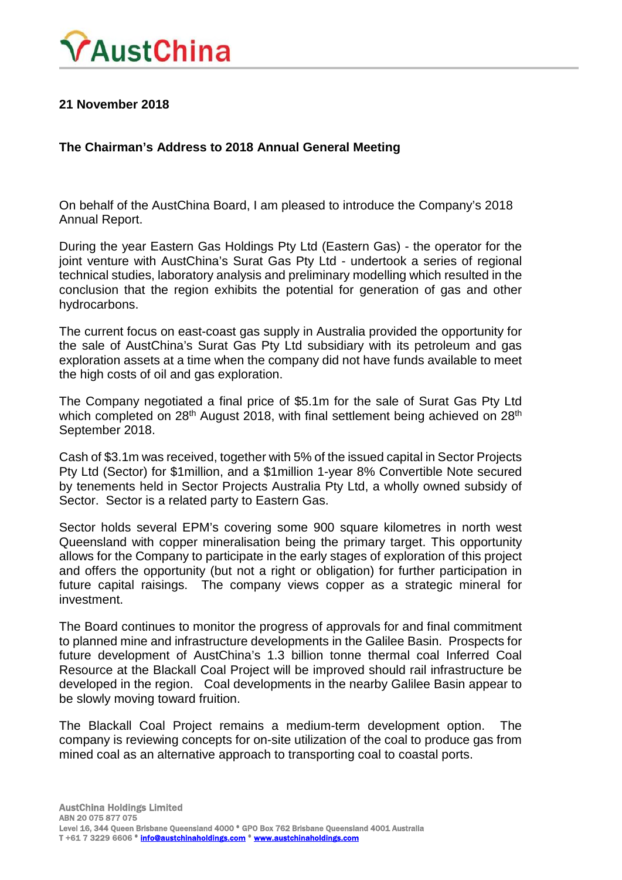

## **21 November 2018**

## **The Chairman's Address to 2018 Annual General Meeting**

On behalf of the AustChina Board, I am pleased to introduce the Company's 2018 Annual Report.

During the year Eastern Gas Holdings Pty Ltd (Eastern Gas) - the operator for the joint venture with AustChina's Surat Gas Pty Ltd - undertook a series of regional technical studies, laboratory analysis and preliminary modelling which resulted in the conclusion that the region exhibits the potential for generation of gas and other hydrocarbons.

The current focus on east-coast gas supply in Australia provided the opportunity for the sale of AustChina's Surat Gas Pty Ltd subsidiary with its petroleum and gas exploration assets at a time when the company did not have funds available to meet the high costs of oil and gas exploration.

The Company negotiated a final price of \$5.1m for the sale of Surat Gas Pty Ltd which completed on 28<sup>th</sup> August 2018, with final settlement being achieved on 28<sup>th</sup> September 2018.

Cash of \$3.1m was received, together with 5% of the issued capital in Sector Projects Pty Ltd (Sector) for \$1million, and a \$1million 1-year 8% Convertible Note secured by tenements held in Sector Projects Australia Pty Ltd, a wholly owned subsidy of Sector. Sector is a related party to Eastern Gas.

Sector holds several EPM's covering some 900 square kilometres in north west Queensland with copper mineralisation being the primary target. This opportunity allows for the Company to participate in the early stages of exploration of this project and offers the opportunity (but not a right or obligation) for further participation in future capital raisings. The company views copper as a strategic mineral for investment.

The Board continues to monitor the progress of approvals for and final commitment to planned mine and infrastructure developments in the Galilee Basin. Prospects for future development of AustChina's 1.3 billion tonne thermal coal Inferred Coal Resource at the Blackall Coal Project will be improved should rail infrastructure be developed in the region. Coal developments in the nearby Galilee Basin appear to be slowly moving toward fruition.

The Blackall Coal Project remains a medium-term development option. The company is reviewing concepts for on-site utilization of the coal to produce gas from mined coal as an alternative approach to transporting coal to coastal ports.